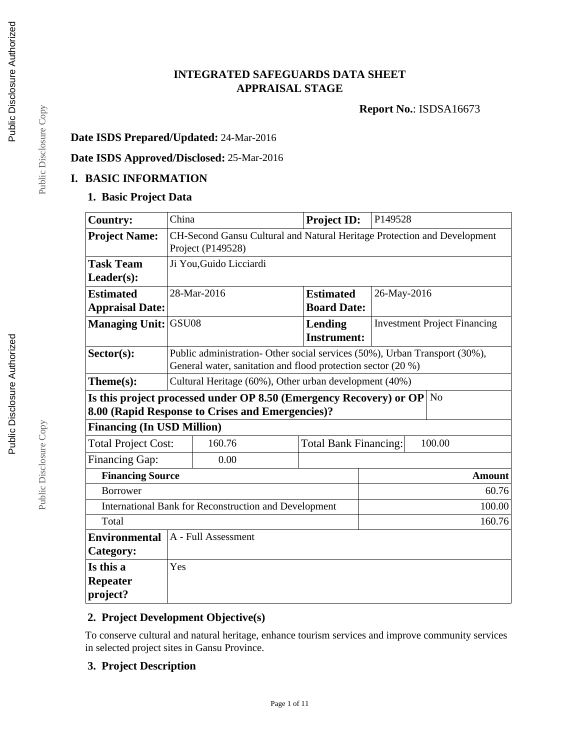# **INTEGRATED SAFEGUARDS DATA SHEET APPRAISAL STAGE**

**Report No.**: ISDSA16673

# **Date ISDS Prepared/Updated:** 24-Mar-2016

# **Date ISDS Approved/Disclosed:** 25-Mar-2016

#### **I. BASIC INFORMATION**

### **1. Basic Project Data**

| <b>Country:</b>                   | China                                                                                         |                                                                            | <b>Project ID:</b>           | P149528     |                                     |  |
|-----------------------------------|-----------------------------------------------------------------------------------------------|----------------------------------------------------------------------------|------------------------------|-------------|-------------------------------------|--|
| <b>Project Name:</b>              | CH-Second Gansu Cultural and Natural Heritage Protection and Development<br>Project (P149528) |                                                                            |                              |             |                                     |  |
| <b>Task Team</b>                  |                                                                                               | Ji You, Guido Licciardi                                                    |                              |             |                                     |  |
| $Leader(s)$ :                     |                                                                                               |                                                                            |                              |             |                                     |  |
| <b>Estimated</b>                  |                                                                                               | 28-Mar-2016                                                                | <b>Estimated</b>             | 26-May-2016 |                                     |  |
| <b>Appraisal Date:</b>            |                                                                                               |                                                                            | <b>Board Date:</b>           |             |                                     |  |
| <b>Managing Unit:</b>             | GSU08                                                                                         |                                                                            | Lending                      |             | <b>Investment Project Financing</b> |  |
|                                   |                                                                                               |                                                                            | <b>Instrument:</b>           |             |                                     |  |
| $Sector(s)$ :                     |                                                                                               | Public administration- Other social services (50%), Urban Transport (30%), |                              |             |                                     |  |
|                                   |                                                                                               | General water, sanitation and flood protection sector (20 %)               |                              |             |                                     |  |
| Theme(s):                         | Cultural Heritage (60%), Other urban development (40%)                                        |                                                                            |                              |             |                                     |  |
|                                   |                                                                                               | Is this project processed under OP 8.50 (Emergency Recovery) or OP         |                              |             | N <sub>o</sub>                      |  |
|                                   | 8.00 (Rapid Response to Crises and Emergencies)?                                              |                                                                            |                              |             |                                     |  |
| <b>Financing (In USD Million)</b> |                                                                                               |                                                                            |                              |             |                                     |  |
| <b>Total Project Cost:</b>        |                                                                                               | 160.76                                                                     | <b>Total Bank Financing:</b> |             | 100.00                              |  |
| <b>Financing Gap:</b>             |                                                                                               | 0.00                                                                       |                              |             |                                     |  |
|                                   | <b>Financing Source</b><br><b>Amount</b>                                                      |                                                                            |                              |             |                                     |  |
| <b>Borrower</b>                   | 60.76                                                                                         |                                                                            |                              |             |                                     |  |
|                                   | <b>International Bank for Reconstruction and Development</b><br>100.00                        |                                                                            |                              |             |                                     |  |
| Total                             | 160.76                                                                                        |                                                                            |                              |             |                                     |  |
| <b>Environmental</b>              | A - Full Assessment                                                                           |                                                                            |                              |             |                                     |  |
| Category:                         |                                                                                               |                                                                            |                              |             |                                     |  |
| Is this a                         | Yes                                                                                           |                                                                            |                              |             |                                     |  |
| Repeater                          |                                                                                               |                                                                            |                              |             |                                     |  |
| project?                          |                                                                                               |                                                                            |                              |             |                                     |  |

## **2. Project Development Objective(s)**

To conserve cultural and natural heritage, enhance tourism services and improve community services in selected project sites in Gansu Province.

Page 1 of 11

### **3. Project Description**

Public Disclosure Copy Public Disclosure Copy

Public Disclosure Copy

Public Disclosure Copy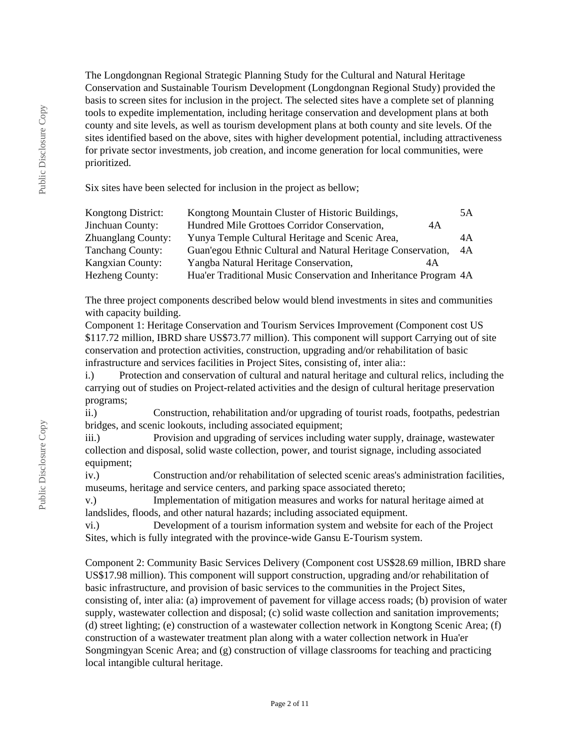The Longdongnan Regional Strategic Planning Study for the Cultural and Natural Heritage Conservation and Sustainable Tourism Development (Longdongnan Regional Study) provided the basis to screen sites for inclusion in the project. The selected sites have a complete set of planning tools to expedite implementation, including heritage conservation and development plans at both county and site levels, as well as tourism development plans at both county and site levels. Of the sites identified based on the above, sites with higher development potential, including attractiveness for private sector investments, job creation, and income generation for local communities, were prioritized.

Six sites have been selected for inclusion in the project as bellow;

| Kongtong District:        | Kongtong Mountain Cluster of Historic Buildings,                 | 5A |
|---------------------------|------------------------------------------------------------------|----|
| Jinchuan County:          | Hundred Mile Grottoes Corridor Conservation,<br>4Α               |    |
| <b>Zhuanglang County:</b> | Yunya Temple Cultural Heritage and Scenic Area,                  | 4A |
| <b>Tanchang County:</b>   | Guan'egou Ethnic Cultural and Natural Heritage Conservation,     | 4A |
| <b>Kangxian County:</b>   | Yangba Natural Heritage Conservation,<br>4A                      |    |
| <b>Hezheng County:</b>    | Hua'er Traditional Music Conservation and Inheritance Program 4A |    |

The three project components described below would blend investments in sites and communities with capacity building.

Component 1: Heritage Conservation and Tourism Services Improvement (Component cost US \$117.72 million, IBRD share US\$73.77 million). This component will support Carrying out of site conservation and protection activities, construction, upgrading and/or rehabilitation of basic infrastructure and services facilities in Project Sites, consisting of, inter alia::

i.) Protection and conservation of cultural and natural heritage and cultural relics, including the carrying out of studies on Project-related activities and the design of cultural heritage preservation programs;

ii.) Construction, rehabilitation and/or upgrading of tourist roads, footpaths, pedestrian bridges, and scenic lookouts, including associated equipment;

iii.) Provision and upgrading of services including water supply, drainage, wastewater collection and disposal, solid waste collection, power, and tourist signage, including associated equipment;

iv.) Construction and/or rehabilitation of selected scenic areas's administration facilities, museums, heritage and service centers, and parking space associated thereto;

v.) Implementation of mitigation measures and works for natural heritage aimed at landslides, floods, and other natural hazards; including associated equipment.

vi.) Development of a tourism information system and website for each of the Project Sites, which is fully integrated with the province-wide Gansu E-Tourism system.

Component 2: Community Basic Services Delivery (Component cost US\$28.69 million, IBRD share US\$17.98 million). This component will support construction, upgrading and/or rehabilitation of basic infrastructure, and provision of basic services to the communities in the Project Sites, consisting of, inter alia: (a) improvement of pavement for village access roads; (b) provision of water supply, wastewater collection and disposal; (c) solid waste collection and sanitation improvements; (d) street lighting; (e) construction of a wastewater collection network in Kongtong Scenic Area; (f) construction of a wastewater treatment plan along with a water collection network in Hua'er Songmingyan Scenic Area; and (g) construction of village classrooms for teaching and practicing local intangible cultural heritage.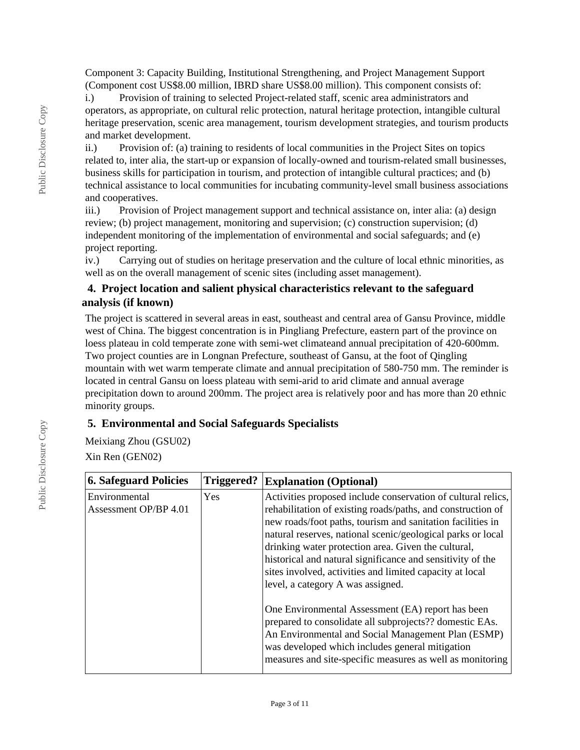Component 3: Capacity Building, Institutional Strengthening, and Project Management Support (Component cost US\$8.00 million, IBRD share US\$8.00 million). This component consists of:

i.) Provision of training to selected Project-related staff, scenic area administrators and operators, as appropriate, on cultural relic protection, natural heritage protection, intangible cultural heritage preservation, scenic area management, tourism development strategies, and tourism products and market development.

ii.) Provision of: (a) training to residents of local communities in the Project Sites on topics related to, inter alia, the start-up or expansion of locally-owned and tourism-related small businesses, business skills for participation in tourism, and protection of intangible cultural practices; and (b) technical assistance to local communities for incubating community-level small business associations and cooperatives.

iii.) Provision of Project management support and technical assistance on, inter alia: (a) design review; (b) project management, monitoring and supervision; (c) construction supervision; (d) independent monitoring of the implementation of environmental and social safeguards; and (e) project reporting.

iv.) Carrying out of studies on heritage preservation and the culture of local ethnic minorities, as well as on the overall management of scenic sites (including asset management).

## **4. Project location and salient physical characteristics relevant to the safeguard analysis (if known)**

The project is scattered in several areas in east, southeast and central area of Gansu Province, middle west of China. The biggest concentration is in Pingliang Prefecture, eastern part of the province on loess plateau in cold temperate zone with semi-wet climateand annual precipitation of 420-600mm. Two project counties are in Longnan Prefecture, southeast of Gansu, at the foot of Qingling mountain with wet warm temperate climate and annual precipitation of 580-750 mm. The reminder is located in central Gansu on loess plateau with semi-arid to arid climate and annual average precipitation down to around 200mm. The project area is relatively poor and has more than 20 ethnic minority groups.

### **5. Environmental and Social Safeguards Specialists**

Meixiang Zhou (GSU02)

Xin Ren (GEN02)

| <b>6. Safeguard Policies</b>           | Triggered? | <b>Explanation (Optional)</b>                                                                                                                                                                                                                                                                                                                                                                                                                                                  |
|----------------------------------------|------------|--------------------------------------------------------------------------------------------------------------------------------------------------------------------------------------------------------------------------------------------------------------------------------------------------------------------------------------------------------------------------------------------------------------------------------------------------------------------------------|
| Environmental<br>Assessment OP/BP 4.01 | Yes        | Activities proposed include conservation of cultural relics,<br>rehabilitation of existing roads/paths, and construction of<br>new roads/foot paths, tourism and sanitation facilities in<br>natural reserves, national scenic/geological parks or local<br>drinking water protection area. Given the cultural,<br>historical and natural significance and sensitivity of the<br>sites involved, activities and limited capacity at local<br>level, a category A was assigned. |
|                                        |            | One Environmental Assessment (EA) report has been<br>prepared to consolidate all subprojects?? domestic EAs.<br>An Environmental and Social Management Plan (ESMP)<br>was developed which includes general mitigation<br>measures and site-specific measures as well as monitoring                                                                                                                                                                                             |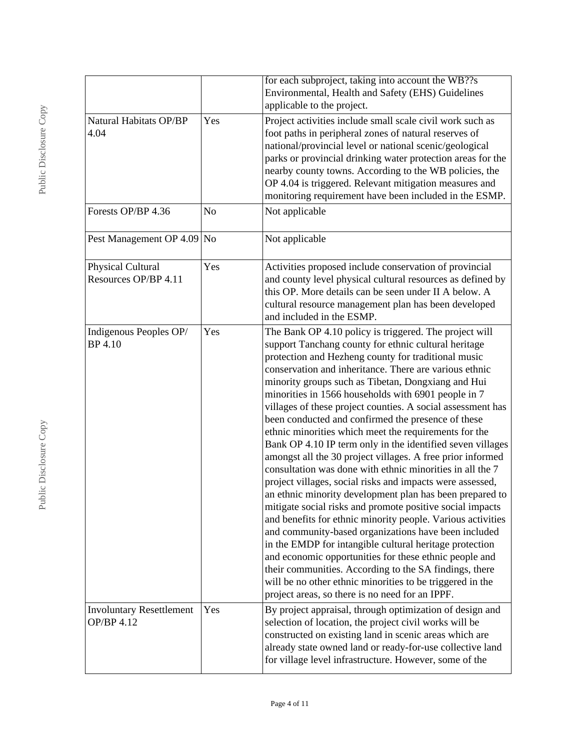|                                               |     | for each subproject, taking into account the WB??s<br>Environmental, Health and Safety (EHS) Guidelines<br>applicable to the project.                                                                                                                                                                                                                                                                                                                                                                                                                                                                                                                                                                                                                                                                                                                                                                                                                                                                                                                                                                                                                                                                                                                                                                                           |
|-----------------------------------------------|-----|---------------------------------------------------------------------------------------------------------------------------------------------------------------------------------------------------------------------------------------------------------------------------------------------------------------------------------------------------------------------------------------------------------------------------------------------------------------------------------------------------------------------------------------------------------------------------------------------------------------------------------------------------------------------------------------------------------------------------------------------------------------------------------------------------------------------------------------------------------------------------------------------------------------------------------------------------------------------------------------------------------------------------------------------------------------------------------------------------------------------------------------------------------------------------------------------------------------------------------------------------------------------------------------------------------------------------------|
| Natural Habitats OP/BP<br>4.04                | Yes | Project activities include small scale civil work such as<br>foot paths in peripheral zones of natural reserves of<br>national/provincial level or national scenic/geological<br>parks or provincial drinking water protection areas for the<br>nearby county towns. According to the WB policies, the<br>OP 4.04 is triggered. Relevant mitigation measures and<br>monitoring requirement have been included in the ESMP.                                                                                                                                                                                                                                                                                                                                                                                                                                                                                                                                                                                                                                                                                                                                                                                                                                                                                                      |
| Forests OP/BP 4.36                            | No  | Not applicable                                                                                                                                                                                                                                                                                                                                                                                                                                                                                                                                                                                                                                                                                                                                                                                                                                                                                                                                                                                                                                                                                                                                                                                                                                                                                                                  |
| Pest Management OP 4.09                       | No  | Not applicable                                                                                                                                                                                                                                                                                                                                                                                                                                                                                                                                                                                                                                                                                                                                                                                                                                                                                                                                                                                                                                                                                                                                                                                                                                                                                                                  |
| Physical Cultural<br>Resources OP/BP 4.11     | Yes | Activities proposed include conservation of provincial<br>and county level physical cultural resources as defined by<br>this OP. More details can be seen under II A below. A<br>cultural resource management plan has been developed<br>and included in the ESMP.                                                                                                                                                                                                                                                                                                                                                                                                                                                                                                                                                                                                                                                                                                                                                                                                                                                                                                                                                                                                                                                              |
| Indigenous Peoples OP/<br>BP 4.10             | Yes | The Bank OP 4.10 policy is triggered. The project will<br>support Tanchang county for ethnic cultural heritage<br>protection and Hezheng county for traditional music<br>conservation and inheritance. There are various ethnic<br>minority groups such as Tibetan, Dongxiang and Hui<br>minorities in 1566 households with 6901 people in 7<br>villages of these project counties. A social assessment has<br>been conducted and confirmed the presence of these<br>ethnic minorities which meet the requirements for the<br>Bank OP 4.10 IP term only in the identified seven villages<br>amongst all the 30 project villages. A free prior informed<br>consultation was done with ethnic minorities in all the 7<br>project villages, social risks and impacts were assessed,<br>an ethnic minority development plan has been prepared to<br>mitigate social risks and promote positive social impacts<br>and benefits for ethnic minority people. Various activities<br>and community-based organizations have been included<br>in the EMDP for intangible cultural heritage protection<br>and economic opportunities for these ethnic people and<br>their communities. According to the SA findings, there<br>will be no other ethnic minorities to be triggered in the<br>project areas, so there is no need for an IPPF. |
| <b>Involuntary Resettlement</b><br>OP/BP 4.12 | Yes | By project appraisal, through optimization of design and<br>selection of location, the project civil works will be<br>constructed on existing land in scenic areas which are<br>already state owned land or ready-for-use collective land<br>for village level infrastructure. However, some of the                                                                                                                                                                                                                                                                                                                                                                                                                                                                                                                                                                                                                                                                                                                                                                                                                                                                                                                                                                                                                             |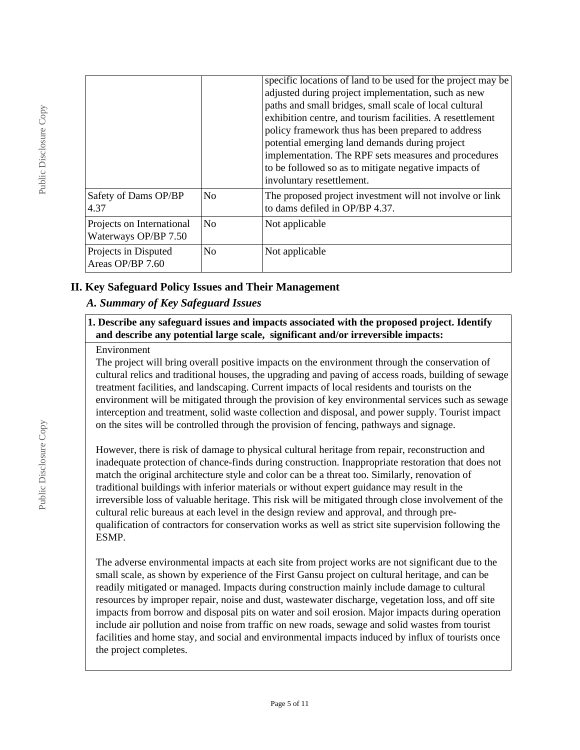|                                                   |                | specific locations of land to be used for the project may be<br>adjusted during project implementation, such as new<br>paths and small bridges, small scale of local cultural<br>exhibition centre, and tourism facilities. A resettlement<br>policy framework thus has been prepared to address |
|---------------------------------------------------|----------------|--------------------------------------------------------------------------------------------------------------------------------------------------------------------------------------------------------------------------------------------------------------------------------------------------|
|                                                   |                | potential emerging land demands during project<br>implementation. The RPF sets measures and procedures<br>to be followed so as to mitigate negative impacts of<br>involuntary resettlement.                                                                                                      |
| Safety of Dams OP/BP<br>4.37                      | No             | The proposed project investment will not involve or link<br>to dams defiled in OP/BP 4.37.                                                                                                                                                                                                       |
| Projects on International<br>Waterways OP/BP 7.50 | N <sub>0</sub> | Not applicable                                                                                                                                                                                                                                                                                   |
| Projects in Disputed<br>Areas OP/BP 7.60          | N <sub>o</sub> | Not applicable                                                                                                                                                                                                                                                                                   |

## **II. Key Safeguard Policy Issues and Their Management**

## *A. Summary of Key Safeguard Issues*

#### **1. Describe any safeguard issues and impacts associated with the proposed project. Identify and describe any potential large scale, significant and/or irreversible impacts:**

#### Environment

The project will bring overall positive impacts on the environment through the conservation of cultural relics and traditional houses, the upgrading and paving of access roads, building of sewage treatment facilities, and landscaping. Current impacts of local residents and tourists on the environment will be mitigated through the provision of key environmental services such as sewage interception and treatment, solid waste collection and disposal, and power supply. Tourist impact on the sites will be controlled through the provision of fencing, pathways and signage.

However, there is risk of damage to physical cultural heritage from repair, reconstruction and inadequate protection of chance-finds during construction. Inappropriate restoration that does not match the original architecture style and color can be a threat too. Similarly, renovation of traditional buildings with inferior materials or without expert guidance may result in the irreversible loss of valuable heritage. This risk will be mitigated through close involvement of the cultural relic bureaus at each level in the design review and approval, and through prequalification of contractors for conservation works as well as strict site supervision following the ESMP.

The adverse environmental impacts at each site from project works are not significant due to the small scale, as shown by experience of the First Gansu project on cultural heritage, and can be readily mitigated or managed. Impacts during construction mainly include damage to cultural resources by improper repair, noise and dust, wastewater discharge, vegetation loss, and off site impacts from borrow and disposal pits on water and soil erosion. Major impacts during operation include air pollution and noise from traffic on new roads, sewage and solid wastes from tourist facilities and home stay, and social and environmental impacts induced by influx of tourists once the project completes.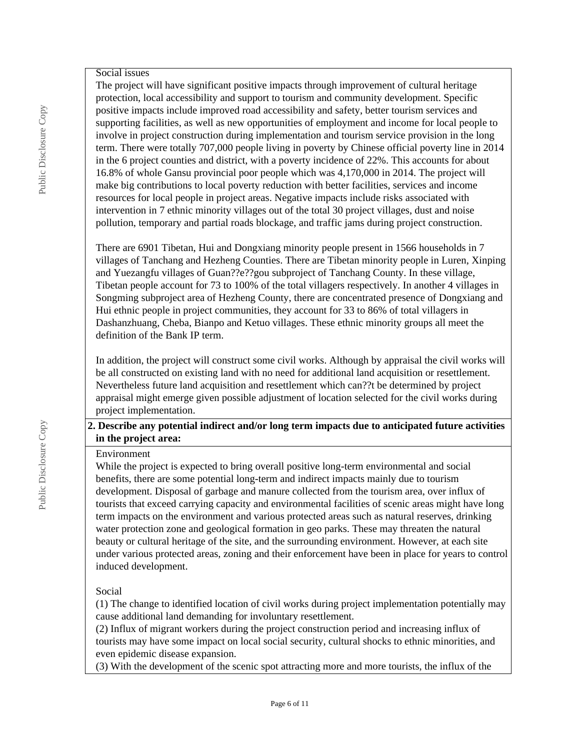#### Social issues

The project will have significant positive impacts through improvement of cultural heritage protection, local accessibility and support to tourism and community development. Specific positive impacts include improved road accessibility and safety, better tourism services and supporting facilities, as well as new opportunities of employment and income for local people to involve in project construction during implementation and tourism service provision in the long term. There were totally 707,000 people living in poverty by Chinese official poverty line in 2014 in the 6 project counties and district, with a poverty incidence of 22%. This accounts for about 16.8% of whole Gansu provincial poor people which was 4,170,000 in 2014. The project will make big contributions to local poverty reduction with better facilities, services and income resources for local people in project areas. Negative impacts include risks associated with intervention in 7 ethnic minority villages out of the total 30 project villages, dust and noise pollution, temporary and partial roads blockage, and traffic jams during project construction.

There are 6901 Tibetan, Hui and Dongxiang minority people present in 1566 households in 7 villages of Tanchang and Hezheng Counties. There are Tibetan minority people in Luren, Xinping and Yuezangfu villages of Guan??e??gou subproject of Tanchang County. In these village, Tibetan people account for 73 to 100% of the total villagers respectively. In another 4 villages in Songming subproject area of Hezheng County, there are concentrated presence of Dongxiang and Hui ethnic people in project communities, they account for 33 to 86% of total villagers in Dashanzhuang, Cheba, Bianpo and Ketuo villages. These ethnic minority groups all meet the definition of the Bank IP term.

In addition, the project will construct some civil works. Although by appraisal the civil works will be all constructed on existing land with no need for additional land acquisition or resettlement. Nevertheless future land acquisition and resettlement which can??t be determined by project appraisal might emerge given possible adjustment of location selected for the civil works during project implementation.

### **2. Describe any potential indirect and/or long term impacts due to anticipated future activities in the project area:**

#### Environment

While the project is expected to bring overall positive long-term environmental and social benefits, there are some potential long-term and indirect impacts mainly due to tourism development. Disposal of garbage and manure collected from the tourism area, over influx of tourists that exceed carrying capacity and environmental facilities of scenic areas might have long term impacts on the environment and various protected areas such as natural reserves, drinking water protection zone and geological formation in geo parks. These may threaten the natural beauty or cultural heritage of the site, and the surrounding environment. However, at each site under various protected areas, zoning and their enforcement have been in place for years to control induced development.

#### Social

(1) The change to identified location of civil works during project implementation potentially may cause additional land demanding for involuntary resettlement.

(2) Influx of migrant workers during the project construction period and increasing influx of tourists may have some impact on local social security, cultural shocks to ethnic minorities, and even epidemic disease expansion.

(3) With the development of the scenic spot attracting more and more tourists, the influx of the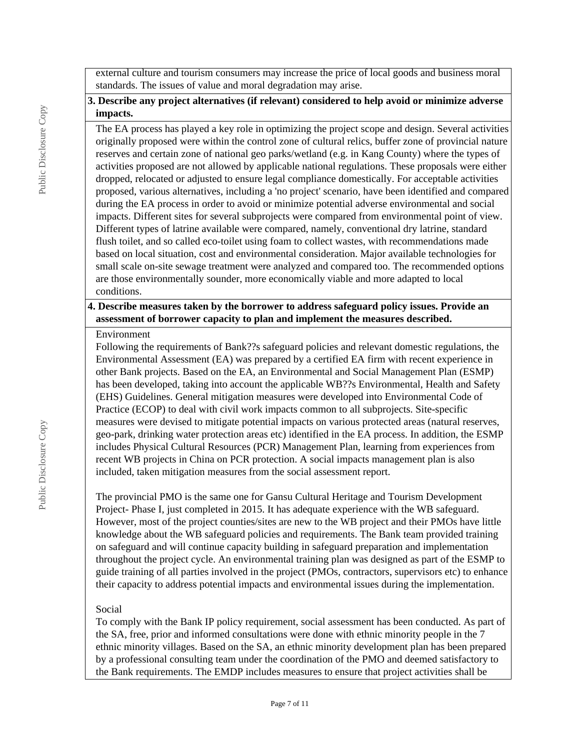external culture and tourism consumers may increase the price of local goods and business moral standards. The issues of value and moral degradation may arise.

## **3. Describe any project alternatives (if relevant) considered to help avoid or minimize adverse impacts.**

The EA process has played a key role in optimizing the project scope and design. Several activities originally proposed were within the control zone of cultural relics, buffer zone of provincial nature reserves and certain zone of national geo parks/wetland (e.g. in Kang County) where the types of activities proposed are not allowed by applicable national regulations. These proposals were either dropped, relocated or adjusted to ensure legal compliance domestically. For acceptable activities proposed, various alternatives, including a 'no project' scenario, have been identified and compared during the EA process in order to avoid or minimize potential adverse environmental and social impacts. Different sites for several subprojects were compared from environmental point of view. Different types of latrine available were compared, namely, conventional dry latrine, standard flush toilet, and so called eco-toilet using foam to collect wastes, with recommendations made based on local situation, cost and environmental consideration. Major available technologies for small scale on-site sewage treatment were analyzed and compared too. The recommended options are those environmentally sounder, more economically viable and more adapted to local conditions.

#### **4. Describe measures taken by the borrower to address safeguard policy issues. Provide an assessment of borrower capacity to plan and implement the measures described.**

#### Environment

Following the requirements of Bank??s safeguard policies and relevant domestic regulations, the Environmental Assessment (EA) was prepared by a certified EA firm with recent experience in other Bank projects. Based on the EA, an Environmental and Social Management Plan (ESMP) has been developed, taking into account the applicable WB??s Environmental, Health and Safety (EHS) Guidelines. General mitigation measures were developed into Environmental Code of Practice (ECOP) to deal with civil work impacts common to all subprojects. Site-specific measures were devised to mitigate potential impacts on various protected areas (natural reserves, geo-park, drinking water protection areas etc) identified in the EA process. In addition, the ESMP includes Physical Cultural Resources (PCR) Management Plan, learning from experiences from recent WB projects in China on PCR protection. A social impacts management plan is also included, taken mitigation measures from the social assessment report.

The provincial PMO is the same one for Gansu Cultural Heritage and Tourism Development Project- Phase I, just completed in 2015. It has adequate experience with the WB safeguard. However, most of the project counties/sites are new to the WB project and their PMOs have little knowledge about the WB safeguard policies and requirements. The Bank team provided training on safeguard and will continue capacity building in safeguard preparation and implementation throughout the project cycle. An environmental training plan was designed as part of the ESMP to guide training of all parties involved in the project (PMOs, contractors, supervisors etc) to enhance their capacity to address potential impacts and environmental issues during the implementation.

### Social

To comply with the Bank IP policy requirement, social assessment has been conducted. As part of the SA, free, prior and informed consultations were done with ethnic minority people in the 7 ethnic minority villages. Based on the SA, an ethnic minority development plan has been prepared by a professional consulting team under the coordination of the PMO and deemed satisfactory to the Bank requirements. The EMDP includes measures to ensure that project activities shall be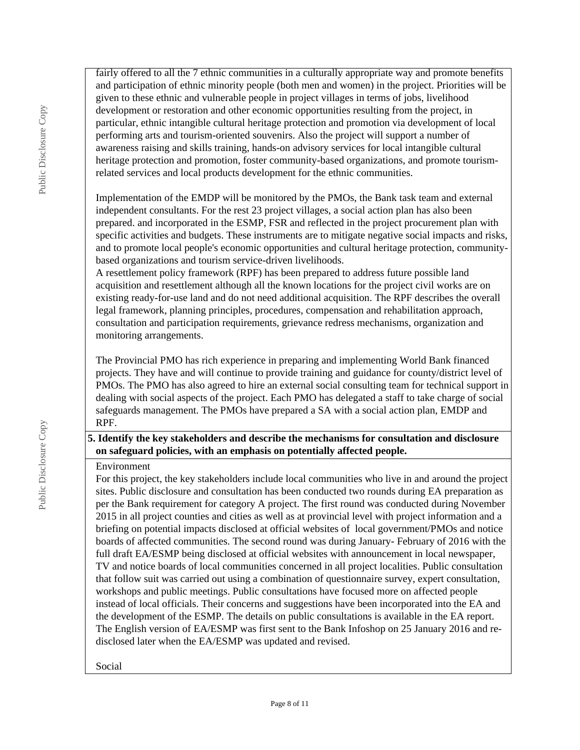fairly offered to all the 7 ethnic communities in a culturally appropriate way and promote benefits and participation of ethnic minority people (both men and women) in the project. Priorities will be given to these ethnic and vulnerable people in project villages in terms of jobs, livelihood development or restoration and other economic opportunities resulting from the project, in particular, ethnic intangible cultural heritage protection and promotion via development of local performing arts and tourism-oriented souvenirs. Also the project will support a number of awareness raising and skills training, hands-on advisory services for local intangible cultural heritage protection and promotion, foster community-based organizations, and promote tourismrelated services and local products development for the ethnic communities.

Implementation of the EMDP will be monitored by the PMOs, the Bank task team and external independent consultants. For the rest 23 project villages, a social action plan has also been prepared. and incorporated in the ESMP, FSR and reflected in the project procurement plan with specific activities and budgets. These instruments are to mitigate negative social impacts and risks, and to promote local people's economic opportunities and cultural heritage protection, communitybased organizations and tourism service-driven livelihoods.

A resettlement policy framework (RPF) has been prepared to address future possible land acquisition and resettlement although all the known locations for the project civil works are on existing ready-for-use land and do not need additional acquisition. The RPF describes the overall legal framework, planning principles, procedures, compensation and rehabilitation approach, consultation and participation requirements, grievance redress mechanisms, organization and monitoring arrangements.

The Provincial PMO has rich experience in preparing and implementing World Bank financed projects. They have and will continue to provide training and guidance for county/district level of PMOs. The PMO has also agreed to hire an external social consulting team for technical support in dealing with social aspects of the project. Each PMO has delegated a staff to take charge of social safeguards management. The PMOs have prepared a SA with a social action plan, EMDP and RPF.

## **5. Identify the key stakeholders and describe the mechanisms for consultation and disclosure on safeguard policies, with an emphasis on potentially affected people.**

### Environment

For this project, the key stakeholders include local communities who live in and around the project sites. Public disclosure and consultation has been conducted two rounds during EA preparation as per the Bank requirement for category A project. The first round was conducted during November 2015 in all project counties and cities as well as at provincial level with project information and a briefing on potential impacts disclosed at official websites of local government/PMOs and notice boards of affected communities. The second round was during January- February of 2016 with the full draft EA/ESMP being disclosed at official websites with announcement in local newspaper, TV and notice boards of local communities concerned in all project localities. Public consultation that follow suit was carried out using a combination of questionnaire survey, expert consultation, workshops and public meetings. Public consultations have focused more on affected people instead of local officials. Their concerns and suggestions have been incorporated into the EA and the development of the ESMP. The details on public consultations is available in the EA report. The English version of EA/ESMP was first sent to the Bank Infoshop on 25 January 2016 and redisclosed later when the EA/ESMP was updated and revised.

#### Social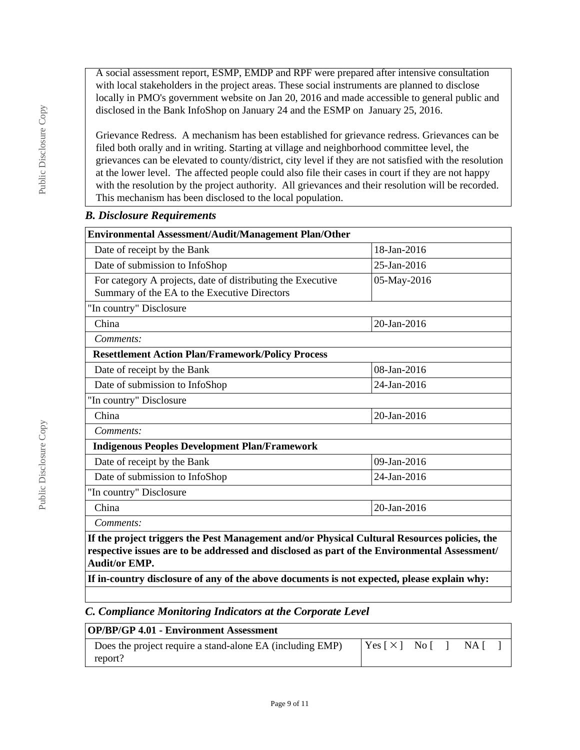A social assessment report, ESMP, EMDP and RPF were prepared after intensive consultation with local stakeholders in the project areas. These social instruments are planned to disclose locally in PMO's government website on Jan 20, 2016 and made accessible to general public and disclosed in the Bank InfoShop on January 24 and the ESMP on January 25, 2016.

Grievance Redress. A mechanism has been established for grievance redress. Grievances can be filed both orally and in writing. Starting at village and neighborhood committee level, the grievances can be elevated to county/district, city level if they are not satisfied with the resolution at the lower level. The affected people could also file their cases in court if they are not happy with the resolution by the project authority. All grievances and their resolution will be recorded. This mechanism has been disclosed to the local population.

### *B. Disclosure Requirements*

| Environmental Assessment/Audit/Management Plan/Other                                                                       |             |  |  |  |  |
|----------------------------------------------------------------------------------------------------------------------------|-------------|--|--|--|--|
| 18-Jan-2016<br>Date of receipt by the Bank                                                                                 |             |  |  |  |  |
| Date of submission to InfoShop<br>25-Jan-2016                                                                              |             |  |  |  |  |
| For category A projects, date of distributing the Executive<br>05-May-2016<br>Summary of the EA to the Executive Directors |             |  |  |  |  |
| "In country" Disclosure                                                                                                    |             |  |  |  |  |
| China                                                                                                                      | 20-Jan-2016 |  |  |  |  |
| Comments:                                                                                                                  |             |  |  |  |  |
| <b>Resettlement Action Plan/Framework/Policy Process</b>                                                                   |             |  |  |  |  |
| Date of receipt by the Bank                                                                                                | 08-Jan-2016 |  |  |  |  |
| Date of submission to InfoShop<br>24-Jan-2016                                                                              |             |  |  |  |  |
| "In country" Disclosure                                                                                                    |             |  |  |  |  |
| China<br>20-Jan-2016                                                                                                       |             |  |  |  |  |
| Comments:                                                                                                                  |             |  |  |  |  |
| <b>Indigenous Peoples Development Plan/Framework</b>                                                                       |             |  |  |  |  |
| Date of receipt by the Bank                                                                                                | 09-Jan-2016 |  |  |  |  |
| Date of submission to InfoShop                                                                                             | 24-Jan-2016 |  |  |  |  |
| "In country" Disclosure                                                                                                    |             |  |  |  |  |
| China                                                                                                                      | 20-Jan-2016 |  |  |  |  |
| Comments:                                                                                                                  |             |  |  |  |  |
| If the project triggers the Pest Management and/or Physical Cultural Resources policies, the                               |             |  |  |  |  |
| respective issues are to be addressed and disclosed as part of the Environmental Assessment/<br><b>Audit/or EMP.</b>       |             |  |  |  |  |
| If in-country disclosure of any of the above documents is not expected, please explain why:                                |             |  |  |  |  |

# *C. Compliance Monitoring Indicators at the Corporate Level*

| <b>OP/BP/GP 4.01 - Environment Assessment</b>             |                     |  |  |       |  |
|-----------------------------------------------------------|---------------------|--|--|-------|--|
| Does the project require a stand-alone EA (including EMP) | $Yes \times 1$ No I |  |  | -NA I |  |
| report?                                                   |                     |  |  |       |  |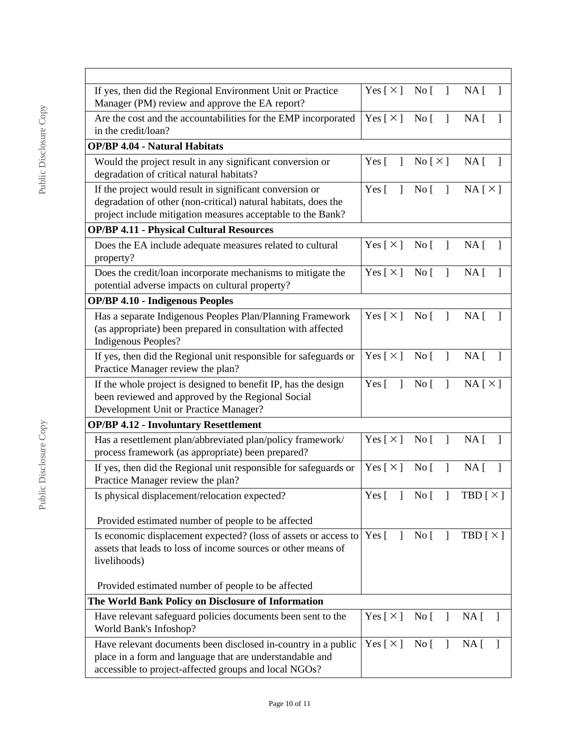| If yes, then did the Regional Environment Unit or Practice<br>Manager (PM) review and approve the EA report?                                                                              | Yes $[\times]$ No $[\ ]$                 |                                                   | NA [                                        |
|-------------------------------------------------------------------------------------------------------------------------------------------------------------------------------------------|------------------------------------------|---------------------------------------------------|---------------------------------------------|
| Are the cost and the accountabilities for the EMP incorporated<br>in the credit/loan?                                                                                                     | Yes [ $\times$ ]                         | No <sub>1</sub><br>$\mathbf{I}$                   | NA <sub>1</sub>                             |
| <b>OP/BP 4.04 - Natural Habitats</b>                                                                                                                                                      |                                          |                                                   |                                             |
| Would the project result in any significant conversion or<br>degradation of critical natural habitats?                                                                                    | Yes $\lceil \quad \rceil$                | $\text{No} [\times]$                              | NA <sub>1</sub>                             |
| If the project would result in significant conversion or<br>degradation of other (non-critical) natural habitats, does the<br>project include mitigation measures acceptable to the Bank? | Yes $\lceil \quad \rceil$                |                                                   | No [ ] NA $[\times]$                        |
| <b>OP/BP 4.11 - Physical Cultural Resources</b>                                                                                                                                           |                                          |                                                   |                                             |
| Does the EA include adequate measures related to cultural<br>property?                                                                                                                    | Yes $[\times]$ No $[\ ]$                 |                                                   | NA [<br>$\mathbf{1}$                        |
| Does the credit/loan incorporate mechanisms to mitigate the<br>potential adverse impacts on cultural property?                                                                            | Yes [ $\times$ ]                         | $\overline{N}$ o $\overline{[}$<br>$\mathbf{1}$   | NA <sub>[</sub> ]                           |
| <b>OP/BP 4.10 - Indigenous Peoples</b>                                                                                                                                                    |                                          |                                                   |                                             |
| Has a separate Indigenous Peoples Plan/Planning Framework<br>(as appropriate) been prepared in consultation with affected<br><b>Indigenous Peoples?</b>                                   | Yes $\lceil \times \rceil$ No $\lceil$ 1 |                                                   | NA <sub>1</sub>                             |
| If yes, then did the Regional unit responsible for safeguards or<br>Practice Manager review the plan?                                                                                     | Yes [ $\times$ ]                         | No [                                              | NA [<br>$\overline{\phantom{a}}$            |
| If the whole project is designed to benefit IP, has the design<br>been reviewed and approved by the Regional Social<br>Development Unit or Practice Manager?                              | Yes $\lceil \quad \rceil$                | $Nof$ ]                                           | $NA \upharpoonright \times \upharpoonright$ |
| <b>OP/BP 4.12 - Involuntary Resettlement</b>                                                                                                                                              |                                          |                                                   |                                             |
| Has a resettlement plan/abbreviated plan/policy framework/<br>process framework (as appropriate) been prepared?                                                                           | Yes $\lceil \times \rceil$               | $\overline{1}$<br>$\overline{N}$ o $\overline{[}$ | NA <sub>1</sub>                             |
| If yes, then did the Regional unit responsible for safeguards or<br>Practice Manager review the plan?                                                                                     | Yes $\lceil \times \rceil$ No $\lceil$   | $\Box$                                            | NA <sub>1</sub><br>$\overline{\phantom{a}}$ |
| Is physical displacement/relocation expected?                                                                                                                                             |                                          |                                                   | Yes [ ] No [ ] TBD $[\times]$               |
| Provided estimated number of people to be affected                                                                                                                                        |                                          |                                                   |                                             |
| Is economic displacement expected? (loss of assets or access to<br>assets that leads to loss of income sources or other means of<br>livelihoods)                                          | Yes [                                    | $\left  \right $ No $\left[ \right $              | $TBD \mid \times \mid$                      |
| Provided estimated number of people to be affected                                                                                                                                        |                                          |                                                   |                                             |
| The World Bank Policy on Disclosure of Information                                                                                                                                        |                                          |                                                   |                                             |
| Have relevant safeguard policies documents been sent to the<br>World Bank's Infoshop?                                                                                                     | Yes [ $\times$ ]                         | $\overline{N}$ o $\overline{[}$<br>1              | NA <sub>[</sub> ]                           |
| Have relevant documents been disclosed in-country in a public<br>place in a form and language that are understandable and<br>accessible to project-affected groups and local NGOs?        | Yes $[\times]$                           | $\overline{N}$ o $\overline{[}$<br>$\Box$         | NA [                                        |